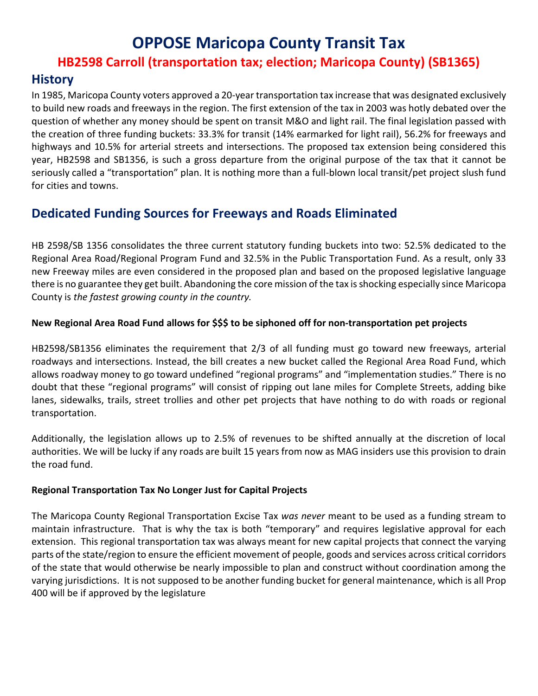## **OPPOSE Maricopa County Transit Tax**

### **HB2598 Carroll (transportation tax; election; Maricopa County) (SB1365)**

### **History**

In 1985, Maricopa County voters approved a 20-year transportation tax increase that was designated exclusively to build new roads and freeways in the region. The first extension of the tax in 2003 was hotly debated over the question of whether any money should be spent on transit M&O and light rail. The final legislation passed with the creation of three funding buckets: 33.3% for transit (14% earmarked for light rail), 56.2% for freeways and highways and 10.5% for arterial streets and intersections. The proposed tax extension being considered this year, HB2598 and SB1356, is such a gross departure from the original purpose of the tax that it cannot be seriously called a "transportation" plan. It is nothing more than a full-blown local transit/pet project slush fund for cities and towns.

## **Dedicated Funding Sources for Freeways and Roads Eliminated**

HB 2598/SB 1356 consolidates the three current statutory funding buckets into two: 52.5% dedicated to the Regional Area Road/Regional Program Fund and 32.5% in the Public Transportation Fund. As a result, only 33 new Freeway miles are even considered in the proposed plan and based on the proposed legislative language there is no guarantee they get built. Abandoning the core mission of the tax is shocking especially since Maricopa County is *the fastest growing county in the country.*

#### **New Regional Area Road Fund allows for \$\$\$ to be siphoned off for non-transportation pet projects**

HB2598/SB1356 eliminates the requirement that 2/3 of all funding must go toward new freeways, arterial roadways and intersections. Instead, the bill creates a new bucket called the Regional Area Road Fund, which allows roadway money to go toward undefined "regional programs" and "implementation studies." There is no doubt that these "regional programs" will consist of ripping out lane miles for Complete Streets, adding bike lanes, sidewalks, trails, street trollies and other pet projects that have nothing to do with roads or regional transportation.

Additionally, the legislation allows up to 2.5% of revenues to be shifted annually at the discretion of local authorities. We will be lucky if any roads are built 15 years from now as MAG insiders use this provision to drain the road fund.

#### **Regional Transportation Tax No Longer Just for Capital Projects**

The Maricopa County Regional Transportation Excise Tax *was never* meant to be used as a funding stream to maintain infrastructure. That is why the tax is both "temporary" and requires legislative approval for each extension. This regional transportation tax was always meant for new capital projects that connect the varying parts of the state/region to ensure the efficient movement of people, goods and services across critical corridors of the state that would otherwise be nearly impossible to plan and construct without coordination among the varying jurisdictions. It is not supposed to be another funding bucket for general maintenance, which is all Prop 400 will be if approved by the legislature